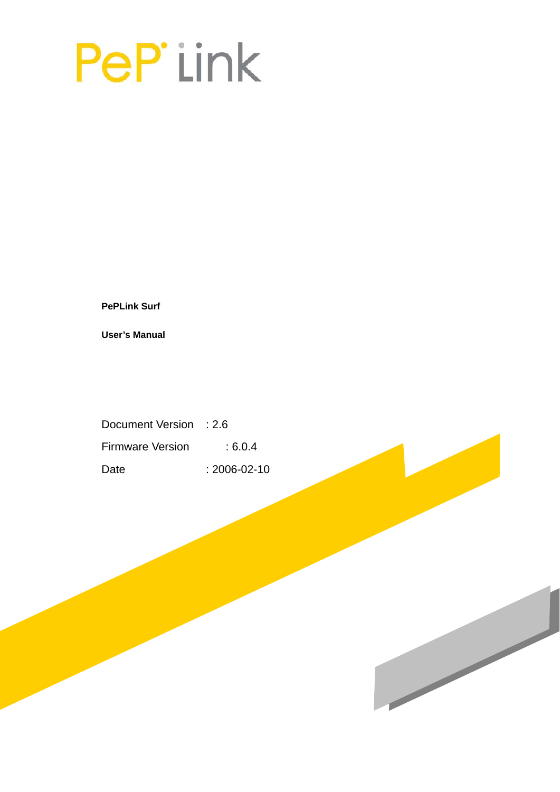# PeP'iink

**PePLink Surf** 

**User's Manual** 

Document Version : 2.6 Firmware Version : 6.0.4 Date : 2006-02-10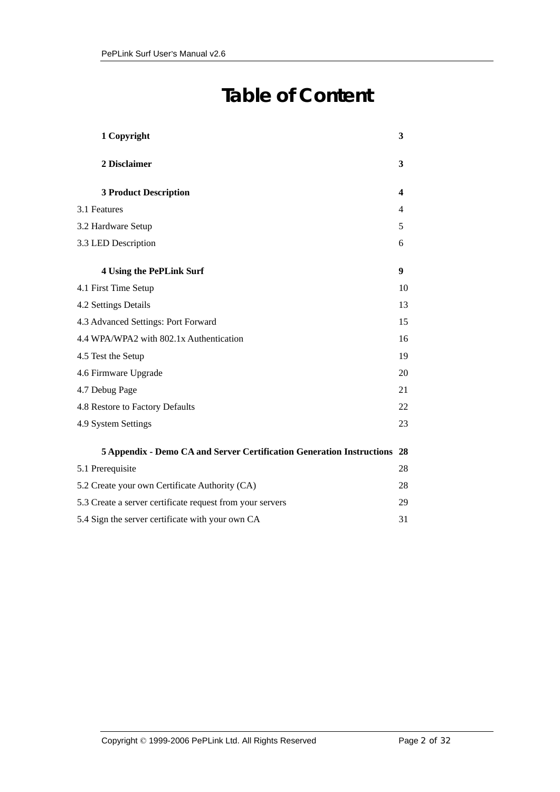# **Table of Content**

| 1 Copyright                                                           | 3  |
|-----------------------------------------------------------------------|----|
| 2 Disclaimer                                                          | 3  |
| <b>3 Product Description</b>                                          | 4  |
| 3.1 Features                                                          | 4  |
| 3.2 Hardware Setup                                                    | 5  |
| 3.3 LED Description                                                   | 6  |
| <b>4 Using the PePLink Surf</b>                                       | 9  |
| 4.1 First Time Setup                                                  | 10 |
| 4.2 Settings Details                                                  | 13 |
| 4.3 Advanced Settings: Port Forward                                   | 15 |
| 4.4 WPA/WPA2 with 802.1x Authentication                               | 16 |
| 4.5 Test the Setup                                                    | 19 |
| 4.6 Firmware Upgrade                                                  | 20 |
| 4.7 Debug Page                                                        | 21 |
| 4.8 Restore to Factory Defaults                                       | 22 |
| 4.9 System Settings                                                   | 23 |
| 5 Appendix - Demo CA and Server Certification Generation Instructions | 28 |
| 5.1 Prerequisite                                                      | 28 |
| 5.2 Create your own Certificate Authority (CA)                        | 28 |
| 5.3 Create a server certificate request from your servers             | 29 |
| 5.4 Sign the server certificate with your own CA                      | 31 |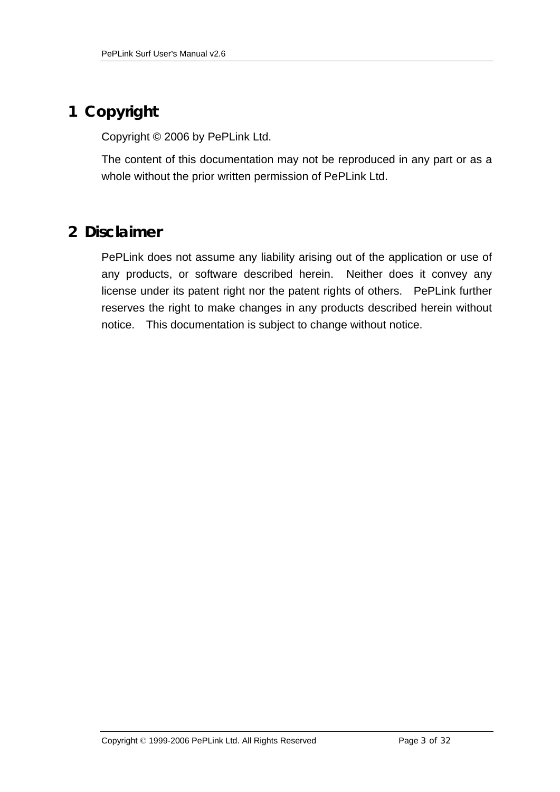# **1 Copyright**

Copyright © 2006 by PePLink Ltd.

The content of this documentation may not be reproduced in any part or as a whole without the prior written permission of PePLink Ltd.

# **2 Disclaimer**

PePLink does not assume any liability arising out of the application or use of any products, or software described herein. Neither does it convey any license under its patent right nor the patent rights of others. PePLink further reserves the right to make changes in any products described herein without notice. This documentation is subject to change without notice.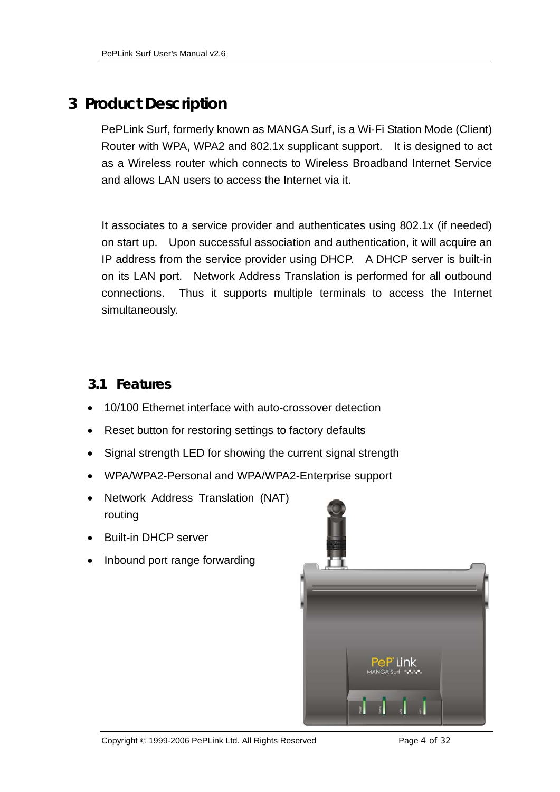# **3 Product Description**

PePLink Surf, formerly known as MANGA Surf, is a Wi-Fi Station Mode (Client) Router with WPA, WPA2 and 802.1x supplicant support. It is designed to act as a Wireless router which connects to Wireless Broadband Internet Service and allows LAN users to access the Internet via it.

It associates to a service provider and authenticates using 802.1x (if needed) on start up. Upon successful association and authentication, it will acquire an IP address from the service provider using DHCP. A DHCP server is built-in on its LAN port. Network Address Translation is performed for all outbound connections. Thus it supports multiple terminals to access the Internet simultaneously.

#### **3.1 Features**

- 10/100 Ethernet interface with auto-crossover detection
- Reset button for restoring settings to factory defaults
- Signal strength LED for showing the current signal strength
- WPA/WPA2-Personal and WPA/WPA2-Enterprise support
- Network Address Translation (NAT) routing
- Built-in DHCP server
- Inbound port range forwarding

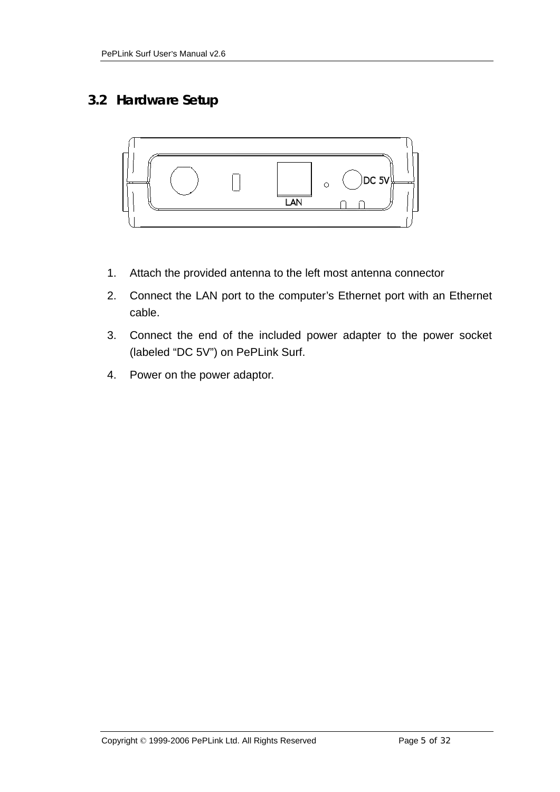## **3.2 Hardware Setup**



- 1. Attach the provided antenna to the left most antenna connector
- 2. Connect the LAN port to the computer's Ethernet port with an Ethernet cable.
- 3. Connect the end of the included power adapter to the power socket (labeled "DC 5V") on PePLink Surf.
- 4. Power on the power adaptor.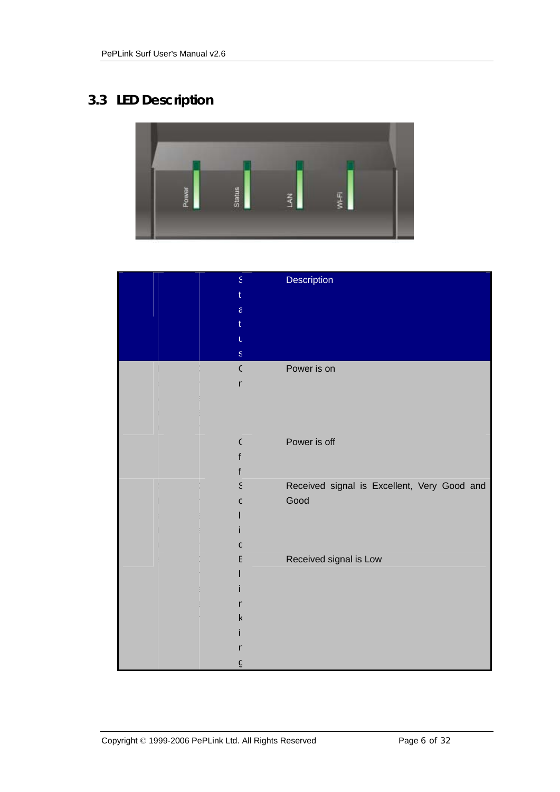# **3.3 LED Description**



| $\mathsf{S}$<br>$\mathsf{a}$<br>U | Description                                         |
|-----------------------------------|-----------------------------------------------------|
| $\mathbf S$                       |                                                     |
| $\mathsf{C}$<br>n                 | Power is on                                         |
| $\mathcal{C}$                     | Power is off                                        |
|                                   |                                                     |
| ξ<br>C                            | Received signal is Excellent, Very Good and<br>Good |
| C<br>E                            | Received signal is Low                              |
| n                                 |                                                     |
| k                                 |                                                     |
| n<br>G                            |                                                     |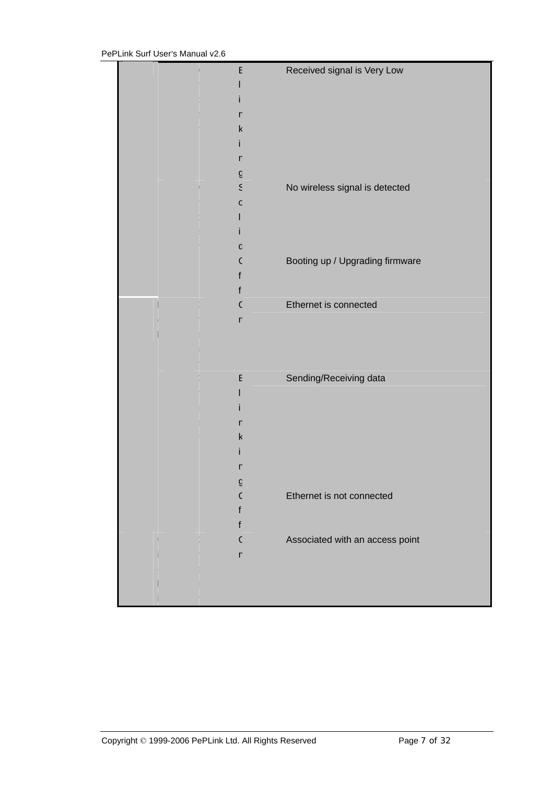|  | E            | Received signal is Very Low     |
|--|--------------|---------------------------------|
|  |              |                                 |
|  |              |                                 |
|  | n            |                                 |
|  |              |                                 |
|  | k            |                                 |
|  |              |                                 |
|  | n            |                                 |
|  | G            |                                 |
|  | ξ            | No wireless signal is detected  |
|  |              |                                 |
|  | C            |                                 |
|  |              |                                 |
|  |              |                                 |
|  | C            |                                 |
|  | C            |                                 |
|  |              | Booting up / Upgrading firmware |
|  | f            |                                 |
|  | f            |                                 |
|  | C            | Ethernet is connected           |
|  | $\mathsf{r}$ |                                 |
|  |              |                                 |
|  |              |                                 |
|  |              |                                 |
|  |              |                                 |
|  | E            | Sending/Receiving data          |
|  |              |                                 |
|  |              |                                 |
|  |              |                                 |
|  | n            |                                 |
|  | k            |                                 |
|  |              |                                 |
|  |              |                                 |
|  |              |                                 |
|  | g            |                                 |
|  | C            | Ethernet is not connected       |
|  |              |                                 |
|  | t            |                                 |
|  | $\mathsf{C}$ | Associated with an access point |
|  |              |                                 |
|  | $\mathsf{r}$ |                                 |
|  |              |                                 |
|  |              |                                 |
|  |              |                                 |
|  |              |                                 |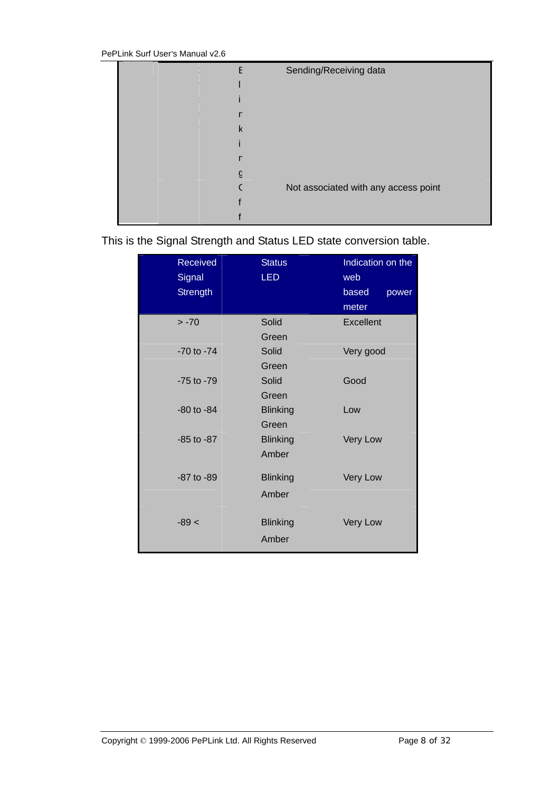|  | Sending/Receiving data               |
|--|--------------------------------------|
|  |                                      |
|  |                                      |
|  |                                      |
|  |                                      |
|  |                                      |
|  |                                      |
|  |                                      |
|  | Not associated with any access point |
|  |                                      |
|  |                                      |

This is the Signal Strength and Status LED state conversion table.

| Received<br>Signal<br><b>Strength</b> | <b>Status</b><br><b>LED</b> | Indication on the<br>web<br>based<br>power<br>meter |
|---------------------------------------|-----------------------------|-----------------------------------------------------|
| $> -70$                               | Solid                       | Excellent                                           |
|                                       | Green                       |                                                     |
| -70 to -74                            | Solid                       | Very good                                           |
|                                       | Green                       |                                                     |
| $-75$ to $-79$                        | Solid                       | Good                                                |
|                                       | Green                       |                                                     |
| $-80$ to $-84$                        | <b>Blinking</b>             | Low                                                 |
|                                       | Green                       |                                                     |
| $-85$ to $-87$                        | <b>Blinking</b>             | Very Low                                            |
|                                       | Amber                       |                                                     |
| -87 to -89                            | <b>Blinking</b>             | Very Low                                            |
|                                       | Amber                       |                                                     |
|                                       |                             |                                                     |
| $-89 <$                               | <b>Blinking</b>             | Very Low                                            |
|                                       | Amber                       |                                                     |
|                                       |                             |                                                     |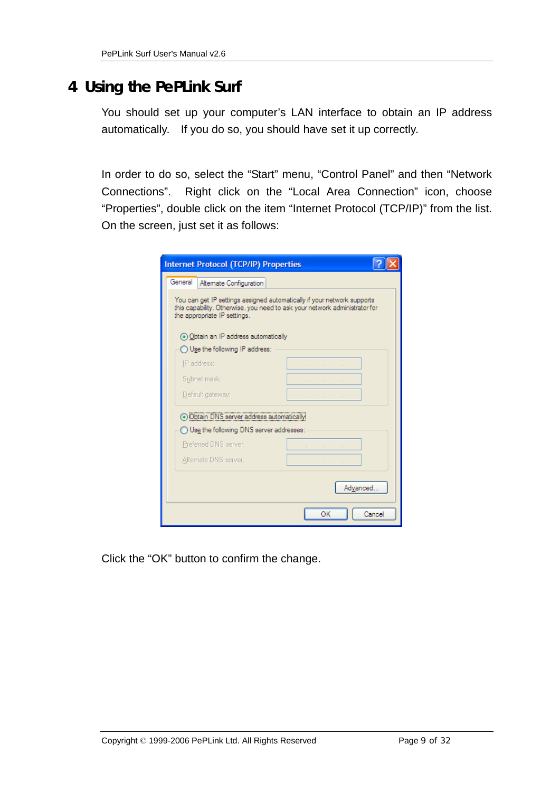# **4 Using the PePLink Surf**

You should set up your computer's LAN interface to obtain an IP address automatically. If you do so, you should have set it up correctly.

In order to do so, select the "Start" menu, "Control Panel" and then "Network Connections". Right click on the "Local Area Connection" icon, choose "Properties", double click on the item "Internet Protocol (TCP/IP)" from the list. On the screen, just set it as follows:

| <b>Internet Protocol (TCP/IP) Properties</b>                                                                                                                                          |                            |
|---------------------------------------------------------------------------------------------------------------------------------------------------------------------------------------|----------------------------|
| General<br>Altemate Configuration                                                                                                                                                     |                            |
| You can get IP settings assigned automatically if your network supports<br>this capability. Otherwise, you need to ask your network administrator for<br>the appropriate IP settings. |                            |
| (a) Obtain an IP address automatically                                                                                                                                                |                            |
| ◯ Use the following IP address:                                                                                                                                                       |                            |
| IP address:                                                                                                                                                                           | and the state of the state |
| Subnet mask:                                                                                                                                                                          |                            |
| Default gateway:                                                                                                                                                                      |                            |
| ⊙ Obtain DNS server address automatically                                                                                                                                             |                            |
| $\bigcirc$ Use the following DNS server addresses:                                                                                                                                    |                            |
| Preferred DNS server:                                                                                                                                                                 |                            |
| Alternate DNS server:                                                                                                                                                                 |                            |
|                                                                                                                                                                                       | Advanced                   |
|                                                                                                                                                                                       | ОК<br>Cancel               |

Click the "OK" button to confirm the change.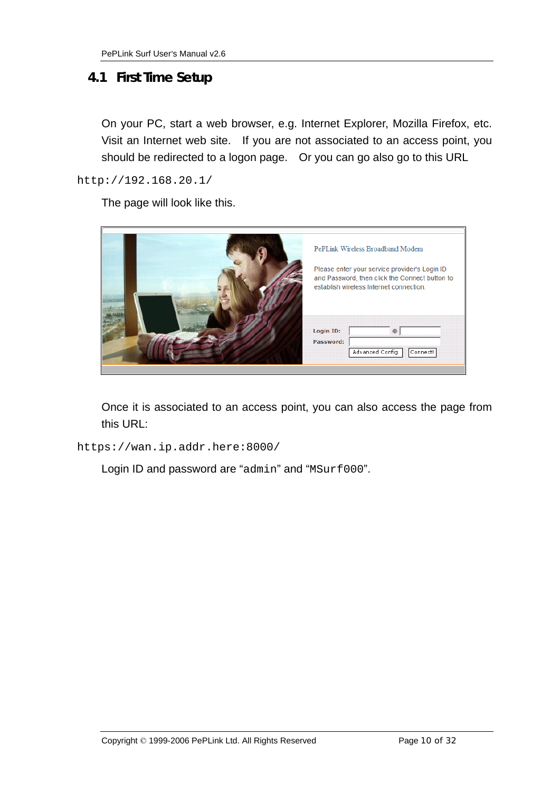#### **4.1 First Time Setup**

On your PC, start a web browser, e.g. Internet Explorer, Mozilla Firefox, etc. Visit an Internet web site. If you are not associated to an access point, you should be redirected to a logon page. Or you can go also go to this URL

http://192.168.20.1/

The page will look like this.

|                  | PePLink Wireless Broadband Modem<br>Please enter your service provider's Login ID<br>and Password, then click the Connect button to<br>establish wireless Internet connection. |
|------------------|--------------------------------------------------------------------------------------------------------------------------------------------------------------------------------|
| <b>Login ID:</b> | Advanced Config<br>Connect                                                                                                                                                     |

Once it is associated to an access point, you can also access the page from this URL:

https://wan.ip.addr.here:8000/

Login ID and password are "admin" and "MSurf000".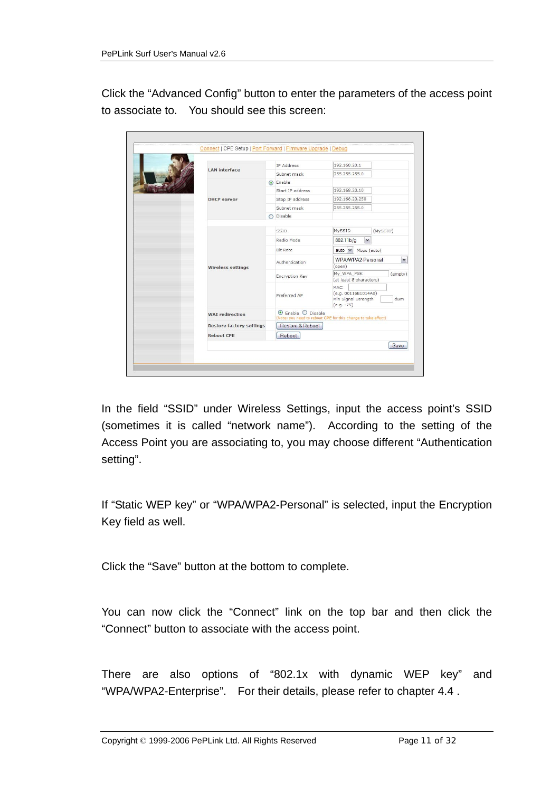Click the "Advanced Config" button to enter the parameters of the access point to associate to. You should see this screen:

|                                 |                                                                                                 | <b>IP Address</b>          | 192.168.20.1                                                             |                                   |  |
|---------------------------------|-------------------------------------------------------------------------------------------------|----------------------------|--------------------------------------------------------------------------|-----------------------------------|--|
| <b>LAN</b> interface            |                                                                                                 | Subnet mask                | 255.255.255.0                                                            |                                   |  |
|                                 |                                                                                                 | $\odot$ Enable             |                                                                          |                                   |  |
|                                 |                                                                                                 | Start IP address           | 192.168.20.10                                                            |                                   |  |
| <b>DHCP</b> server              |                                                                                                 | Stop IP address            | 192.168.20.250                                                           |                                   |  |
|                                 |                                                                                                 | Subnet mask                | 255.255.255.0                                                            |                                   |  |
|                                 |                                                                                                 | Disable                    |                                                                          |                                   |  |
|                                 |                                                                                                 |                            |                                                                          |                                   |  |
|                                 |                                                                                                 | SSID                       | MySSID                                                                   | (MySSID)                          |  |
|                                 |                                                                                                 | Radio Mode                 | 802.11 <sub>b</sub><br>$\checkmark$                                      |                                   |  |
|                                 |                                                                                                 | <b>Bit Rate</b>            | $auto \sim Mbps (auto)$                                                  |                                   |  |
|                                 |                                                                                                 | Authentication             |                                                                          | WPA/WPA2-Personal<br>$\checkmark$ |  |
| <b>Wireless settings</b>        |                                                                                                 |                            | (open)                                                                   |                                   |  |
|                                 |                                                                                                 | <b>Encryption Key</b>      | My_WPA_PSK<br>(at least 8 characters)                                    | (empty)                           |  |
|                                 |                                                                                                 | Preferred AP               | <b>MAC</b><br>(e.g. 00116E1014A0)<br>Min Signal Strength<br>$(e.g. -75)$ | dBm                               |  |
| <b>WAT</b> redirection          | $\odot$ Enable $\odot$ Disable<br>(Note: you need to reboot CPE for this change to take effect) |                            |                                                                          |                                   |  |
| <b>Restore factory settings</b> |                                                                                                 | Restore & Reboot<br>Reboot |                                                                          |                                   |  |
| <b>Reboot CPE</b>               |                                                                                                 |                            |                                                                          |                                   |  |
|                                 |                                                                                                 |                            |                                                                          | Save                              |  |

In the field "SSID" under Wireless Settings, input the access point's SSID (sometimes it is called "network name"). According to the setting of the Access Point you are associating to, you may choose different "Authentication setting".

If "Static WEP key" or "WPA/WPA2-Personal" is selected, input the Encryption Key field as well.

Click the "Save" button at the bottom to complete.

You can now click the "Connect" link on the top bar and then click the "Connect" button to associate with the access point.

There are also options of "802.1x with dynamic WEP key" and "WPA/WPA2-Enterprise". For their details, please refer to chapter 4.4 .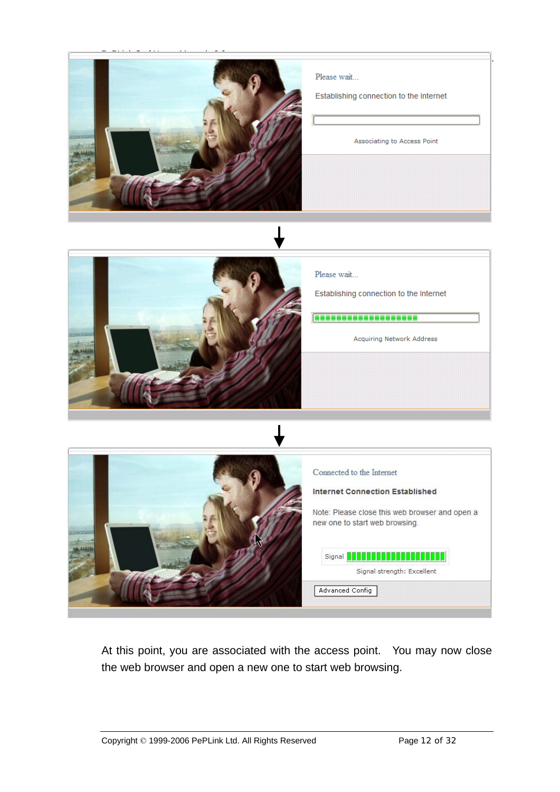

At this point, you are associated with the access point. You may now close the web browser and open a new one to start web browsing.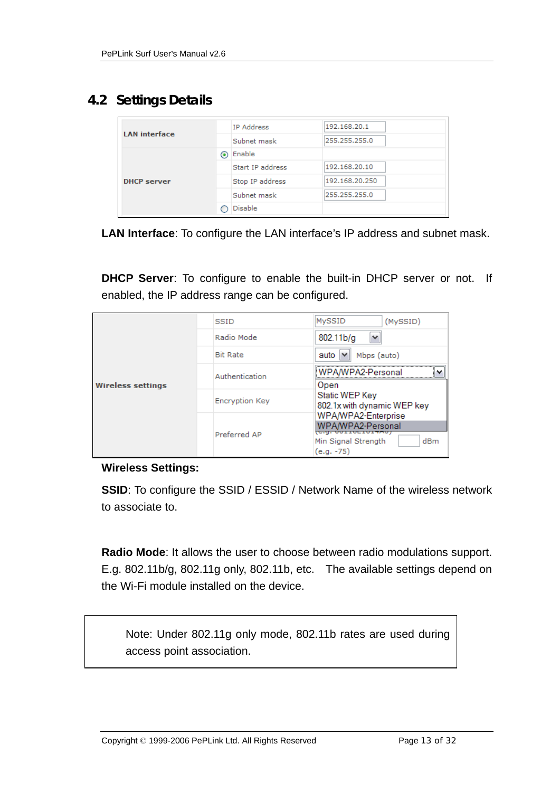### **4.2 Settings Details**

| <b>LAN</b> interface |   | IP Address       | 192.168.20.1   |
|----------------------|---|------------------|----------------|
|                      |   | Subnet mask      | 255,255,255.0  |
|                      | ◉ | Enable           |                |
|                      |   | Start IP address | 192.168.20.10  |
| <b>DHCP</b> server   |   | Stop IP address  | 192.168.20.250 |
|                      |   | Subnet mask      | 255,255,255.0  |
|                      |   | <b>Disable</b>   |                |

**LAN Interface**: To configure the LAN interface's IP address and subnet mask.

**DHCP Server:** To configure to enable the built-in DHCP server or not. If enabled, the IP address range can be configured.

|                          | <b>SSID</b>           | <b>MySSID</b><br>(MySSID)                                                                          |
|--------------------------|-----------------------|----------------------------------------------------------------------------------------------------|
|                          | Radio Mode            | 802.11 <sub>b/g</sub><br>v                                                                         |
|                          | <b>Bit Rate</b>       | Mbps (auto)<br>auto l<br>$\checkmark$                                                              |
| <b>Wireless settings</b> | Authentication        | WPA/WPA2-Personal<br>$\checkmark$<br>Open                                                          |
|                          | <b>Encryption Key</b> | Static WEP Key<br>802.1x with dynamic WEP key                                                      |
|                          | Preferred AP          | WPA/WPA2-Enterprise<br>WPA/WPA2-Personal<br>Min Signal Strength<br>d <sub>Bm</sub><br>$(e.g. -75)$ |

#### **Wireless Settings:**

**SSID**: To configure the SSID / ESSID / Network Name of the wireless network to associate to.

**Radio Mode**: It allows the user to choose between radio modulations support. E.g. 802.11b/g, 802.11g only, 802.11b, etc. The available settings depend on the Wi-Fi module installed on the device.

Note: Under 802.11g only mode, 802.11b rates are used during access point association.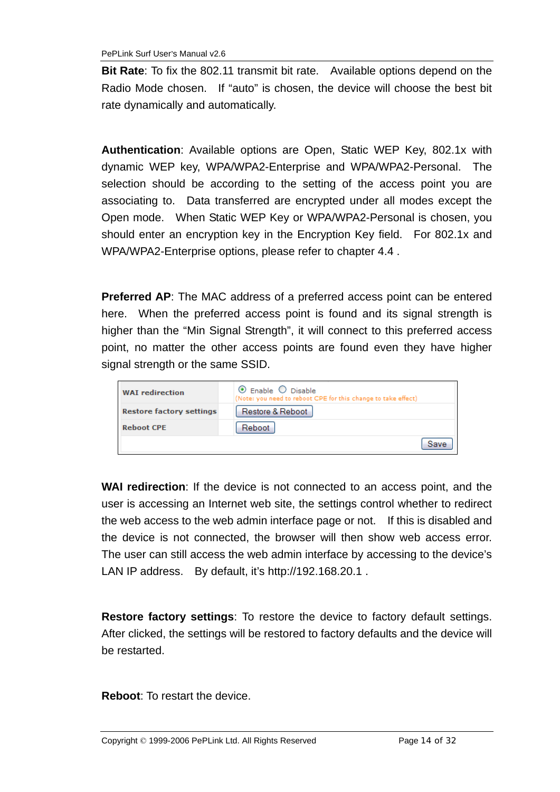**Bit Rate**: To fix the 802.11 transmit bit rate. Available options depend on the Radio Mode chosen. If "auto" is chosen, the device will choose the best bit rate dynamically and automatically.

**Authentication**: Available options are Open, Static WEP Key, 802.1x with dynamic WEP key, WPA/WPA2-Enterprise and WPA/WPA2-Personal. The selection should be according to the setting of the access point you are associating to. Data transferred are encrypted under all modes except the Open mode. When Static WEP Key or WPA/WPA2-Personal is chosen, you should enter an encryption key in the Encryption Key field. For 802.1x and WPA/WPA2-Enterprise options, please refer to chapter 4.4 .

**Preferred AP**: The MAC address of a preferred access point can be entered here. When the preferred access point is found and its signal strength is higher than the "Min Signal Strength", it will connect to this preferred access point, no matter the other access points are found even they have higher signal strength or the same SSID.

| <b>WAI</b> redirection          | $\odot$ Enable $\odot$ Disable<br>(Note: you need to reboot CPE for this change to take effect) |
|---------------------------------|-------------------------------------------------------------------------------------------------|
| <b>Restore factory settings</b> | Restore & Reboot                                                                                |
| <b>Reboot CPE</b>               | Reboot                                                                                          |
|                                 | Save                                                                                            |

**WAI redirection**: If the device is not connected to an access point, and the user is accessing an Internet web site, the settings control whether to redirect the web access to the web admin interface page or not. If this is disabled and the device is not connected, the browser will then show web access error. The user can still access the web admin interface by accessing to the device's LAN IP address. By default, it's http://192.168.20.1.

**Restore factory settings**: To restore the device to factory default settings. After clicked, the settings will be restored to factory defaults and the device will be restarted.

**Reboot**: To restart the device.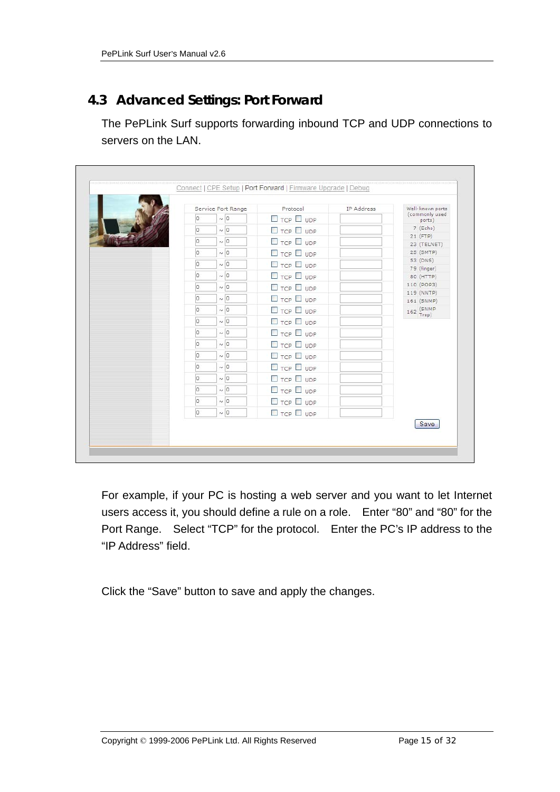## **4.3 Advanced Settings: Port Forward**

The PePLink Surf supports forwarding inbound TCP and UDP connections to servers on the LAN.

|             | Service Port Range | Protocol              | IP Address | Well-known ports         |
|-------------|--------------------|-----------------------|------------|--------------------------|
| $\circ$     | $\sim$ 0           | $\Box$ TCP $\Box$ UDP |            | (commonly used<br>ports) |
| $ 0\rangle$ | $\sim$ 0           | $\Box$ TCP $\Box$ UDP |            | 7 (Echo)                 |
| $ 0\rangle$ | $\sim$ 0           | $\Box$ TCP $\Box$ UDP |            | $21$ (FTP)               |
| IO.         | $\sim$ 0           |                       |            | 23 (TELNET)<br>25 (SMTP) |
|             |                    | $\Box$ TCP $\Box$ UDP |            | 53 (DNS)                 |
| $ 0\rangle$ | $\sim$ 0           | $\Box$ TCP $\Box$ UDP |            | 79 (finger)              |
| $\circ$     | $\sim$ 0           | $\Box$ TCP $\Box$ UDP |            | 80 (HTTP)                |
| $\circ$     | $\sim$ 0           | $\Box$ TCP $\Box$ UDP |            | 110 (POP3)               |
| o           | $\sim$ 0           | $\Box$ TCP $\Box$ UDP |            | 119 (NNTP)<br>161 (SNMP) |
| O           | $\sim$ 0           | $\Box$ TCP $\Box$ UDP |            | 162 (SNMP)               |
| $\circ$     | $\sim$ 0           | $\Box$ TCP $\Box$ UDP |            | Trap)                    |
| $ 0\rangle$ | $\sim$ 0           | $\Box$ TCP $\Box$ UDP |            |                          |
| $\circ$     | $\sim$ 0           | $\Box$ TCP $\Box$ UDP |            |                          |
| $\circ$     | $\sim$ 0           | $\Box$ TCP $\Box$ UDP |            |                          |
| $\circ$     | $\sim$ 0           | $\Box$ TCP $\Box$ UDP |            |                          |
| $\circ$     | $\sim$ 0           | $\Box$ TCP $\Box$ UDP |            |                          |
| $\circ$     | $\sim$ 0           | $\Box$ TCP $\Box$ UDP |            |                          |
| lo.         | $\sim$ 0           | $\Box$ TCP $\Box$ UDP |            |                          |
| $\circ$     | $\sim$ 0           | $\Box$ TCP $\Box$ UDP |            |                          |
|             |                    |                       |            | Save                     |

For example, if your PC is hosting a web server and you want to let Internet users access it, you should define a rule on a role. Enter "80" and "80" for the Port Range. Select "TCP" for the protocol. Enter the PC's IP address to the "IP Address" field.

Click the "Save" button to save and apply the changes.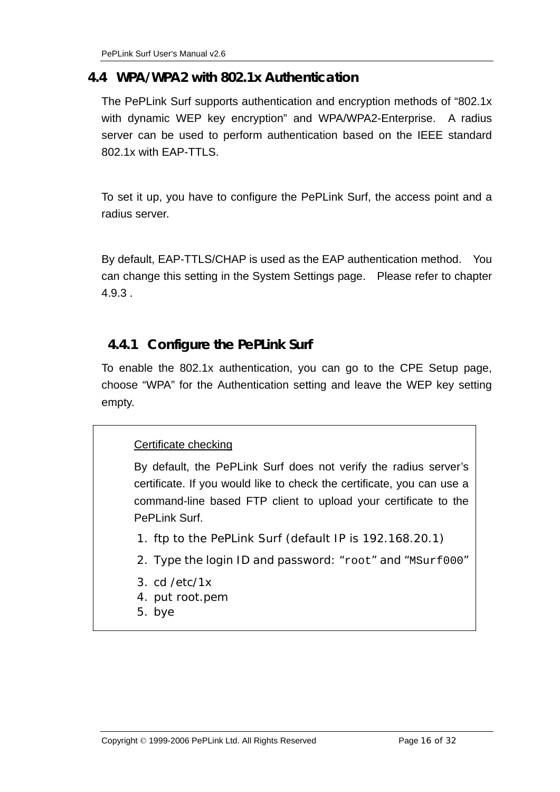#### **4.4 WPA/WPA2 with 802.1x Authentication**

The PePLink Surf supports authentication and encryption methods of "802.1x with dynamic WEP key encryption" and WPA/WPA2-Enterprise. A radius server can be used to perform authentication based on the IEEE standard 802.1x with EAP-TTLS.

To set it up, you have to configure the PePLink Surf, the access point and a radius server.

By default, EAP-TTLS/CHAP is used as the EAP authentication method. You can change this setting in the System Settings page. Please refer to chapter 4.9.3 .

#### **4.4.1 Configure the PePLink Surf**

To enable the 802.1x authentication, you can go to the CPE Setup page, choose "WPA" for the Authentication setting and leave the WEP key setting empty.

#### Certificate checking

By default, the PePLink Surf does not verify the radius server's certificate. If you would like to check the certificate, you can use a command-line based FTP client to upload your certificate to the PePLink Surf.

- 1. ftp to the PePLink Surf (default IP is 192.168.20.1)
- 2. Type the login ID and password: "root" and "MSurf000"
- 3. cd /etc/1x
- 4. put root.pem
- 5. bye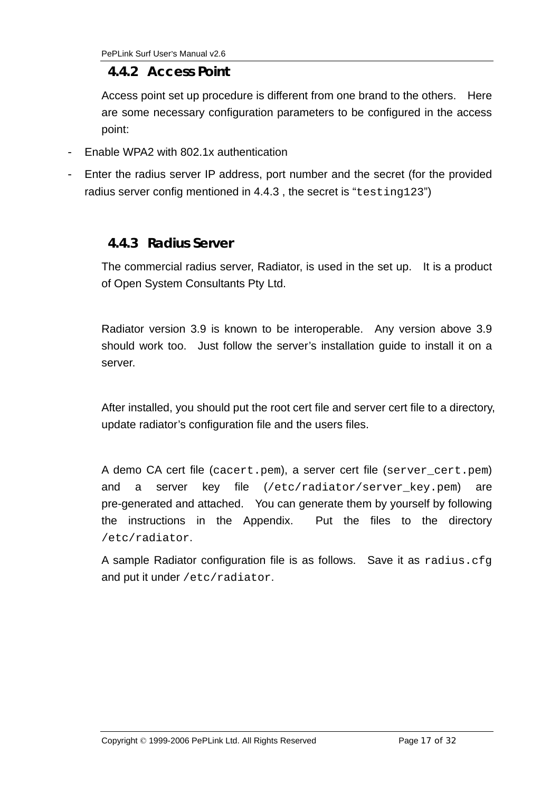#### **4.4.2 Access Point**

Access point set up procedure is different from one brand to the others. Here are some necessary configuration parameters to be configured in the access point:

- Enable WPA2 with 802.1x authentication
- Enter the radius server IP address, port number and the secret (for the provided radius server config mentioned in 4.4.3 , the secret is "testing123")

#### **4.4.3 Radius Server**

The commercial radius server, Radiator, is used in the set up. It is a product of Open System Consultants Pty Ltd.

Radiator version 3.9 is known to be interoperable. Any version above 3.9 should work too. Just follow the server's installation guide to install it on a server.

After installed, you should put the root cert file and server cert file to a directory, update radiator's configuration file and the users files.

A demo CA cert file (cacert.pem), a server cert file (server\_cert.pem) and a server key file (/etc/radiator/server\_key.pem) are pre-generated and attached. You can generate them by yourself by following the instructions in the Appendix. Put the files to the directory /etc/radiator.

A sample Radiator configuration file is as follows. Save it as radius.cfg and put it under /etc/radiator.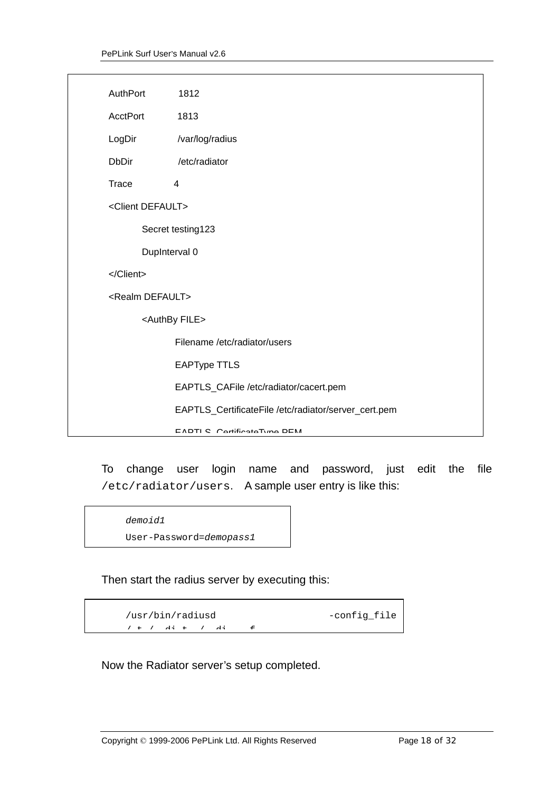| AuthPort                     | 1812                                                 |
|------------------------------|------------------------------------------------------|
| <b>AcctPort</b>              | 1813                                                 |
| LogDir                       | /var/log/radius                                      |
| <b>DbDir</b>                 | /etc/radiator                                        |
| Trace                        | 4                                                    |
| <client default=""></client> |                                                      |
|                              | Secret testing123                                    |
|                              | DupInterval 0                                        |
|                              |                                                      |
| <realm default=""></realm>   |                                                      |
|                              | <authby file=""></authby>                            |
|                              | Filename /etc/radiator/users                         |
|                              | <b>EAPType TTLS</b>                                  |
|                              | EAPTLS_CAFile /etc/radiator/cacert.pem               |
|                              | EAPTLS_CertificateFile /etc/radiator/server_cert.pem |
|                              | <b>EADTI C. Contificato Tuno DEM</b>                 |

To change user login name and password, just edit the file /etc/radiator/users. A sample user entry is like this:

```
demoid1
```
User-Password=*demopass1*

Then start the radius server by executing this:

```
/usr/bin/radiusd -config_file
/ t / di t / di f
```
Now the Radiator server's setup completed.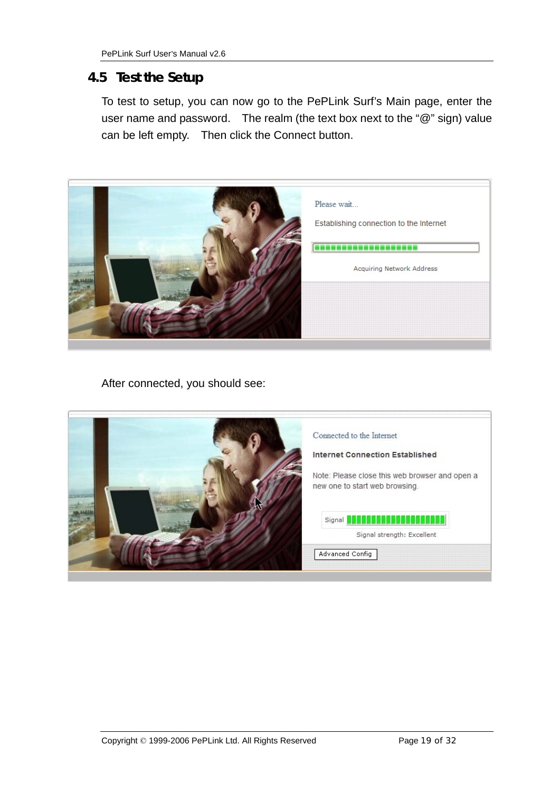#### **4.5 Test the Setup**

To test to setup, you can now go to the PePLink Surf's Main page, enter the user name and password. The realm (the text box next to the "@" sign) value can be left empty. Then click the Connect button.



After connected, you should see:

| Connected to the Internet                                                        |
|----------------------------------------------------------------------------------|
| <b>Internet Connection Established</b>                                           |
| Note: Please close this web browser and open a<br>new one to start web browsing. |
| Signal <b>APRAPRAPRAPRAPRAPR</b><br>Signal strength: Excellent                   |
| Advanced Config                                                                  |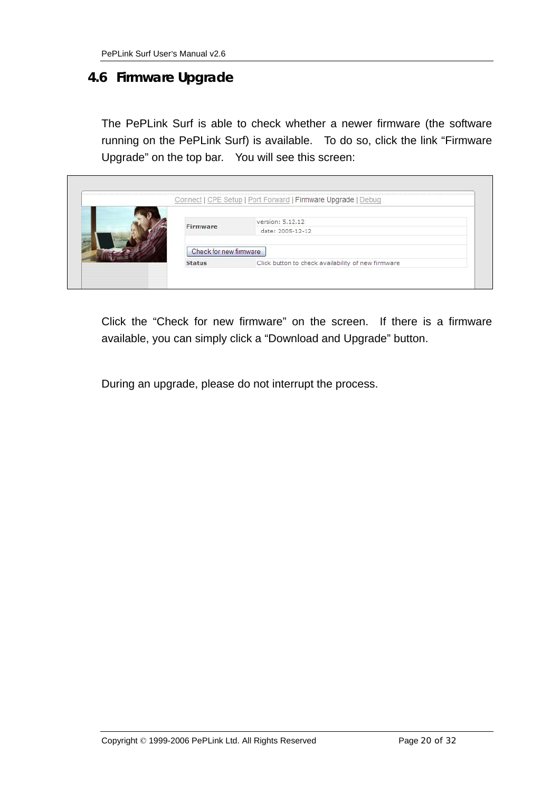#### **4.6 Firmware Upgrade**

The PePLink Surf is able to check whether a newer firmware (the software running on the PePLink Surf) is available. To do so, click the link "Firmware Upgrade" on the top bar. You will see this screen:

|  |                        | Connect   CPE Setup   Port Forward   Firmware Upgrade   Debug |  |
|--|------------------------|---------------------------------------------------------------|--|
|  |                        | version: 5.12.12                                              |  |
|  | Firmware               | date: 2005-12-12                                              |  |
|  | Check for new firmware |                                                               |  |
|  | <b>Status</b>          | Click button to check availability of new firmware            |  |

Click the "Check for new firmware" on the screen. If there is a firmware available, you can simply click a "Download and Upgrade" button.

During an upgrade, please do not interrupt the process.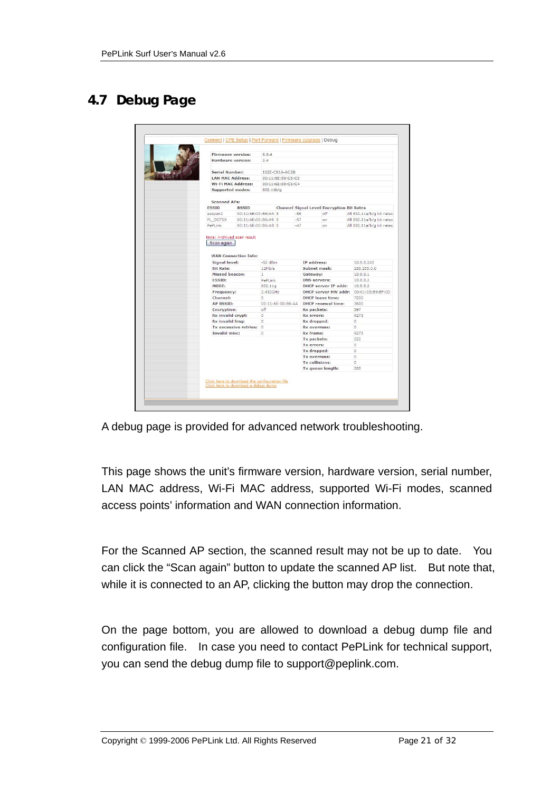# **4.7 Debug Page**

|                                 | <b>Firmware version:</b>    | 6.0.4               |                   |                                 |                                                  |                                        |  |  |  |
|---------------------------------|-----------------------------|---------------------|-------------------|---------------------------------|--------------------------------------------------|----------------------------------------|--|--|--|
|                                 | Hardware version:           | 2.4                 |                   |                                 |                                                  |                                        |  |  |  |
| <b>Serial Number:</b>           |                             |                     | 182E-C016-AC2B    |                                 |                                                  |                                        |  |  |  |
|                                 | <b>LAN MAC Address:</b>     |                     | 00:11:6E:80:C5:C0 |                                 |                                                  |                                        |  |  |  |
|                                 | <b>Wi-Fi MAC Address:</b>   |                     | 00:11:6E:80:C5:C4 |                                 |                                                  |                                        |  |  |  |
|                                 | <b>Supported modes:</b>     | 802.11 <sub>b</sub> |                   |                                 |                                                  |                                        |  |  |  |
|                                 | <b>Scanned APs:</b>         |                     |                   |                                 |                                                  |                                        |  |  |  |
| <b>ESSID</b>                    | <b>BSSID</b>                |                     |                   |                                 | <b>Channel Signal Level Encryption Bit Rates</b> |                                        |  |  |  |
| asopen2                         | 00:11:6E:00:B6:AA 5         |                     |                   | $-56$                           | off                                              | All 802.11a/b/g bit rates              |  |  |  |
| PL_DOT1X                        | 00:11:6E:00:B6:A9 5         |                     |                   | $-57$                           | on                                               | All 802.11a/b/g bit rates              |  |  |  |
| PePLink                         | 00:11:6E:00:B6:AB 5         |                     |                   | $-47$                           | on.                                              | All 802.11a/b/g bit rates              |  |  |  |
| Scan again                      | <b>WAN Connection Info:</b> | $-52$ dBm           |                   | IP address:                     |                                                  |                                        |  |  |  |
|                                 |                             |                     |                   |                                 |                                                  |                                        |  |  |  |
|                                 |                             |                     |                   |                                 |                                                  |                                        |  |  |  |
| Signal level:                   |                             |                     |                   |                                 |                                                  | 10.8.8.245                             |  |  |  |
| <b>Bit Rate:</b>                |                             | 12Mb/s              |                   | Subnet mask:                    |                                                  | 255.255.0.0                            |  |  |  |
| Missed beacon:<br><b>ESSID:</b> |                             | $\mathbf{1}$        |                   | Gateway:<br><b>DNS</b> servers: |                                                  | 10.8.8.1<br>10.8.8.2                   |  |  |  |
| MODE:                           |                             | PePLink<br>802.11g  |                   |                                 | <b>DHCP server IP addr:</b>                      | 10.8.8.2                               |  |  |  |
| Frequency:                      |                             | 2.432GHz            |                   |                                 |                                                  | DHCP server HW addr: 00:01:03:B9:EF:0D |  |  |  |
| Channel:                        |                             | 5                   |                   |                                 | <b>DHCP</b> lease time:                          | 7200                                   |  |  |  |
| <b>AP BSSID:</b>                |                             |                     | 00:11:6E:00:B6:AA |                                 | <b>DHCP</b> renewal time:                        | 3600                                   |  |  |  |
| Encryption:                     |                             | off                 |                   | <b>Rx packets:</b>              |                                                  | 597                                    |  |  |  |
|                                 | Rx invalid crypt:           | $\Omega$            |                   | <b>Rx errors:</b>               |                                                  | 9273                                   |  |  |  |
| Rx invalid frag:                |                             | o                   |                   | Rx dropped:                     |                                                  | 0                                      |  |  |  |
|                                 | Tx excessive retries: 0     |                     |                   | <b>Rx</b> overruns:             |                                                  | n.                                     |  |  |  |
| Invalid misc:                   |                             | o                   |                   | <b>Rx</b> frame:                |                                                  | 9273                                   |  |  |  |
|                                 |                             |                     |                   | Tx packets:                     |                                                  | 222                                    |  |  |  |
|                                 |                             |                     |                   | Tx errors:                      |                                                  | $\circ$                                |  |  |  |
|                                 |                             |                     |                   | Tx dropped:<br>Tx overruns:     |                                                  | $\Omega$<br>0                          |  |  |  |
|                                 |                             |                     |                   | <b>Tx collisions:</b>           |                                                  | n                                      |  |  |  |

A debug page is provided for advanced network troubleshooting.

This page shows the unit's firmware version, hardware version, serial number, LAN MAC address, Wi-Fi MAC address, supported Wi-Fi modes, scanned access points' information and WAN connection information.

For the Scanned AP section, the scanned result may not be up to date. You can click the "Scan again" button to update the scanned AP list. But note that, while it is connected to an AP, clicking the button may drop the connection.

On the page bottom, you are allowed to download a debug dump file and configuration file. In case you need to contact PePLink for technical support, you can send the debug dump file to support@peplink.com.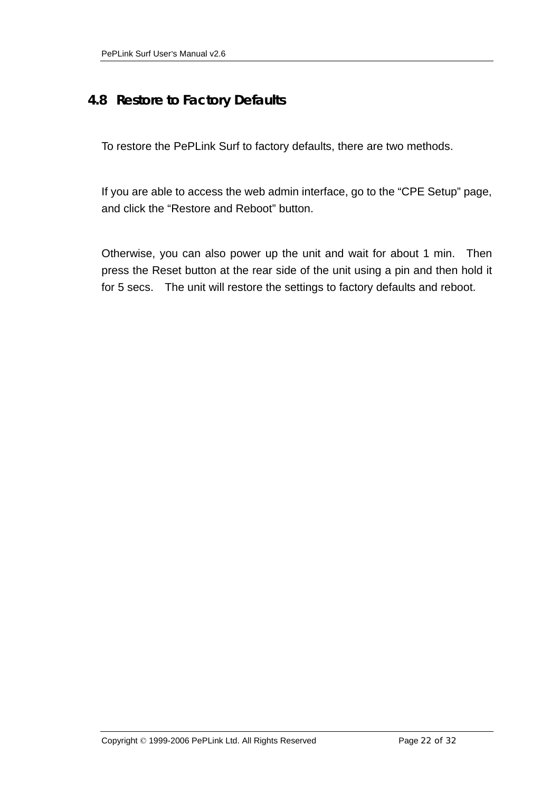#### **4.8 Restore to Factory Defaults**

To restore the PePLink Surf to factory defaults, there are two methods.

If you are able to access the web admin interface, go to the "CPE Setup" page, and click the "Restore and Reboot" button.

Otherwise, you can also power up the unit and wait for about 1 min. Then press the Reset button at the rear side of the unit using a pin and then hold it for 5 secs. The unit will restore the settings to factory defaults and reboot.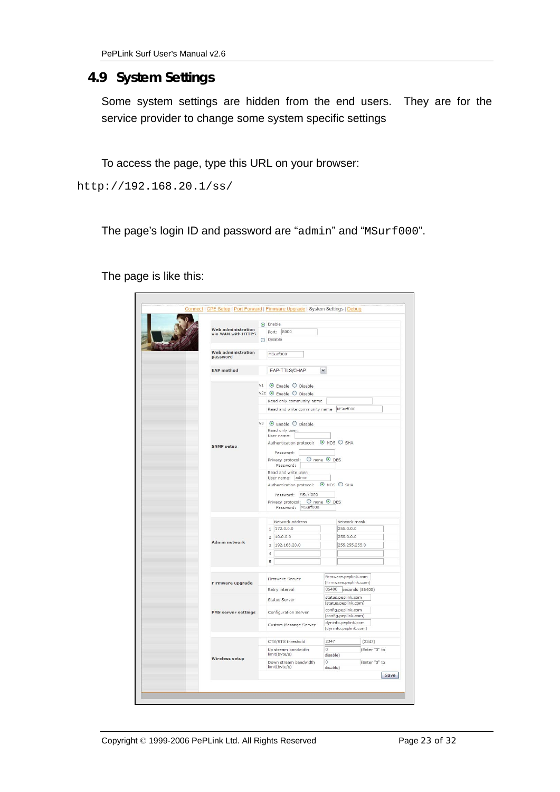## **4.9 System Settings**

Some system settings are hidden from the end users. They are for the service provider to change some system specific settings

To access the page, type this URL on your browser:

http://192.168.20.1/ss/

The page's login ID and password are "admin" and "MSurf000".

The page is like this:

| <b>Web administration</b><br>Port: 8000<br>via WAN with HTTPS<br>O Disable<br><b>Web administration</b><br>MSurf000<br>password<br><b>EAP</b> method<br>EAP-TTLS/CHAP<br>$\checkmark$<br>$v1$ $\odot$ Enable $\odot$ Disable<br>$v2c$ $\odot$ Enable $\odot$ Disable<br>Read only community name<br>MSurf000<br>Read and write community name<br>v3 © Enable O Disable<br>Read only user:<br>User name:<br>Authentication protocol: @ MD5 O SHA<br><b>SNMP</b> setup<br>Password:<br>O none O DES<br>Privacy protocol:<br>Password:<br>Read and write user:<br>User name: admin<br>Authentication protocol: @ MD5 O SHA<br>Password: MSurf000<br>Privacy protocol: O none O DES<br>Password: MSurf000<br>Network address<br>Network mask<br>1 172.0.0.0<br>255.0.0.0<br>$2 \mid 10.0.0.0$<br>255.0.0.0<br><b>Admin network</b> |
|--------------------------------------------------------------------------------------------------------------------------------------------------------------------------------------------------------------------------------------------------------------------------------------------------------------------------------------------------------------------------------------------------------------------------------------------------------------------------------------------------------------------------------------------------------------------------------------------------------------------------------------------------------------------------------------------------------------------------------------------------------------------------------------------------------------------------------|
|                                                                                                                                                                                                                                                                                                                                                                                                                                                                                                                                                                                                                                                                                                                                                                                                                                |
|                                                                                                                                                                                                                                                                                                                                                                                                                                                                                                                                                                                                                                                                                                                                                                                                                                |
|                                                                                                                                                                                                                                                                                                                                                                                                                                                                                                                                                                                                                                                                                                                                                                                                                                |
|                                                                                                                                                                                                                                                                                                                                                                                                                                                                                                                                                                                                                                                                                                                                                                                                                                |
|                                                                                                                                                                                                                                                                                                                                                                                                                                                                                                                                                                                                                                                                                                                                                                                                                                |
|                                                                                                                                                                                                                                                                                                                                                                                                                                                                                                                                                                                                                                                                                                                                                                                                                                |
|                                                                                                                                                                                                                                                                                                                                                                                                                                                                                                                                                                                                                                                                                                                                                                                                                                |
|                                                                                                                                                                                                                                                                                                                                                                                                                                                                                                                                                                                                                                                                                                                                                                                                                                |
|                                                                                                                                                                                                                                                                                                                                                                                                                                                                                                                                                                                                                                                                                                                                                                                                                                |
|                                                                                                                                                                                                                                                                                                                                                                                                                                                                                                                                                                                                                                                                                                                                                                                                                                |
|                                                                                                                                                                                                                                                                                                                                                                                                                                                                                                                                                                                                                                                                                                                                                                                                                                |
|                                                                                                                                                                                                                                                                                                                                                                                                                                                                                                                                                                                                                                                                                                                                                                                                                                |
|                                                                                                                                                                                                                                                                                                                                                                                                                                                                                                                                                                                                                                                                                                                                                                                                                                |
|                                                                                                                                                                                                                                                                                                                                                                                                                                                                                                                                                                                                                                                                                                                                                                                                                                |
|                                                                                                                                                                                                                                                                                                                                                                                                                                                                                                                                                                                                                                                                                                                                                                                                                                |
|                                                                                                                                                                                                                                                                                                                                                                                                                                                                                                                                                                                                                                                                                                                                                                                                                                |
|                                                                                                                                                                                                                                                                                                                                                                                                                                                                                                                                                                                                                                                                                                                                                                                                                                |
|                                                                                                                                                                                                                                                                                                                                                                                                                                                                                                                                                                                                                                                                                                                                                                                                                                |
|                                                                                                                                                                                                                                                                                                                                                                                                                                                                                                                                                                                                                                                                                                                                                                                                                                |
|                                                                                                                                                                                                                                                                                                                                                                                                                                                                                                                                                                                                                                                                                                                                                                                                                                |
|                                                                                                                                                                                                                                                                                                                                                                                                                                                                                                                                                                                                                                                                                                                                                                                                                                |
|                                                                                                                                                                                                                                                                                                                                                                                                                                                                                                                                                                                                                                                                                                                                                                                                                                |
|                                                                                                                                                                                                                                                                                                                                                                                                                                                                                                                                                                                                                                                                                                                                                                                                                                |
| 192.168.20.0<br>255.255.255.0<br>3                                                                                                                                                                                                                                                                                                                                                                                                                                                                                                                                                                                                                                                                                                                                                                                             |
| 4                                                                                                                                                                                                                                                                                                                                                                                                                                                                                                                                                                                                                                                                                                                                                                                                                              |
| 5                                                                                                                                                                                                                                                                                                                                                                                                                                                                                                                                                                                                                                                                                                                                                                                                                              |
|                                                                                                                                                                                                                                                                                                                                                                                                                                                                                                                                                                                                                                                                                                                                                                                                                                |
| firmware.peplink.com<br>Firmware Server<br>(firmware.peplink.com)<br>Firmware upgrade                                                                                                                                                                                                                                                                                                                                                                                                                                                                                                                                                                                                                                                                                                                                          |
| 86400 seconds (86400)<br>Retry interval                                                                                                                                                                                                                                                                                                                                                                                                                                                                                                                                                                                                                                                                                                                                                                                        |
| status.peplink.com<br>Status Server                                                                                                                                                                                                                                                                                                                                                                                                                                                                                                                                                                                                                                                                                                                                                                                            |
| (status.peplink.com)<br>config.peplink.com<br>Configuration Server<br>PMS server settings                                                                                                                                                                                                                                                                                                                                                                                                                                                                                                                                                                                                                                                                                                                                      |
| (config.peplink.com)                                                                                                                                                                                                                                                                                                                                                                                                                                                                                                                                                                                                                                                                                                                                                                                                           |
| dyninfo.peplink.com<br>Custom Message Server<br>(dyninfo.peplink.com)                                                                                                                                                                                                                                                                                                                                                                                                                                                                                                                                                                                                                                                                                                                                                          |
| 2347<br>CTS/RTS threshold<br>(2347)                                                                                                                                                                                                                                                                                                                                                                                                                                                                                                                                                                                                                                                                                                                                                                                            |
| $\overline{0}$<br>(Enter "0" to<br>Up stream bandwidth<br>limit(byte/s)<br>disable)                                                                                                                                                                                                                                                                                                                                                                                                                                                                                                                                                                                                                                                                                                                                            |
| <b>Wireless setup</b><br>o<br>(Enter "0" to<br>Down stream bandwidth<br>limit(byte/s)                                                                                                                                                                                                                                                                                                                                                                                                                                                                                                                                                                                                                                                                                                                                          |
| disable)                                                                                                                                                                                                                                                                                                                                                                                                                                                                                                                                                                                                                                                                                                                                                                                                                       |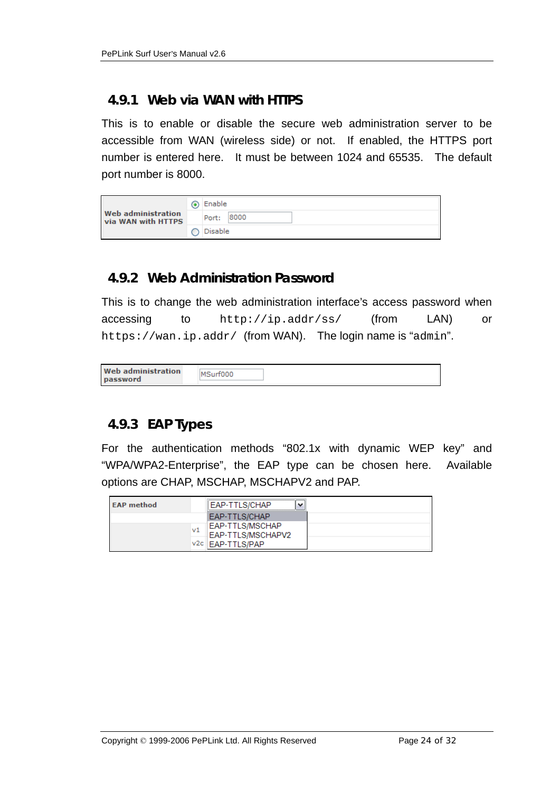#### **4.9.1 Web via WAN with HTTPS**

This is to enable or disable the secure web administration server to be accessible from WAN (wireless side) or not. If enabled, the HTTPS port number is entered here. It must be between 1024 and 65535. The default port number is 8000.

|                                                 | ◉ | Enable        |
|-------------------------------------------------|---|---------------|
| <b>Web administration</b><br>via WAN with HTTPS |   | 8000<br>Port: |
|                                                 |   | Disable       |

#### **4.9.2 Web Administration Password**

This is to change the web administration interface's access password when accessing to http://ip.addr/ss/ (from LAN) or https://wan.ip.addr/ (from WAN). The login name is "admin".

|--|

#### **4.9.3 EAP Types**

For the authentication methods "802.1x with dynamic WEP key" and "WPA/WPA2-Enterprise", the EAP type can be chosen here. Available options are CHAP, MSCHAP, MSCHAPV2 and PAP.

| <b>EAP method</b> |      | EAP-TTLS/CHAP                        |  |
|-------------------|------|--------------------------------------|--|
|                   |      | EAP-TTLS/CHAP                        |  |
|                   | v1   | EAP-TTLS/MSCHAP<br>EAP-TTLS/MSCHAPV2 |  |
|                   | v2c. | EAP-TTLS/PAP                         |  |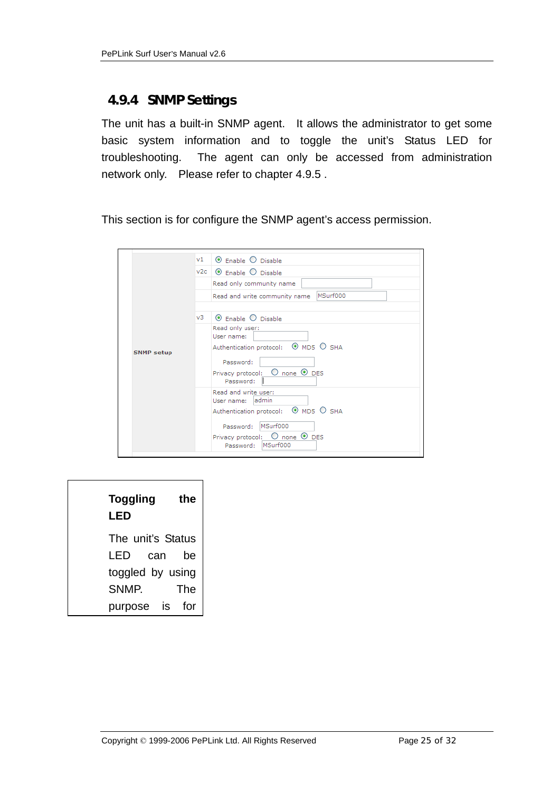#### **4.9.4 SNMP Settings**

The unit has a built-in SNMP agent. It allows the administrator to get some basic system information and to toggle the unit's Status LED for troubleshooting. The agent can only be accessed from administration network only. Please refer to chapter 4.9.5 .

This section is for configure the SNMP agent's access permission.

| V1                      | $\odot$ Enable $\odot$ Disable                                                                                                                                                                                                                                                                                                                          |
|-------------------------|---------------------------------------------------------------------------------------------------------------------------------------------------------------------------------------------------------------------------------------------------------------------------------------------------------------------------------------------------------|
|                         | $v2c$ $\odot$ Enable $\odot$ Disable                                                                                                                                                                                                                                                                                                                    |
|                         | Read only community name                                                                                                                                                                                                                                                                                                                                |
|                         | MSurf000<br>Read and write community name                                                                                                                                                                                                                                                                                                               |
| v3<br><b>SNMP setup</b> | $\odot$ Enable $\odot$ Disable<br>Read only user:<br>User name:<br>Authentication protocol: © MD5 O SHA<br>Password:<br>Privacy protocol: $\bigcirc$ none $\bigcirc$ DES<br>Password:<br>Read and write user:<br>User name: admin<br>Authentication protocol: © MD5 O SHA<br>Password: MSurf000<br>Privacy protocol: $\bigcirc$ none $\circledcirc$ DES |

| <b>Toggling</b><br>LED           | the |
|----------------------------------|-----|
| The unit's Status<br>can<br>I ED | be  |
| toggled by using                 |     |
| SNMP.                            | The |
| IS.<br>purpose                   |     |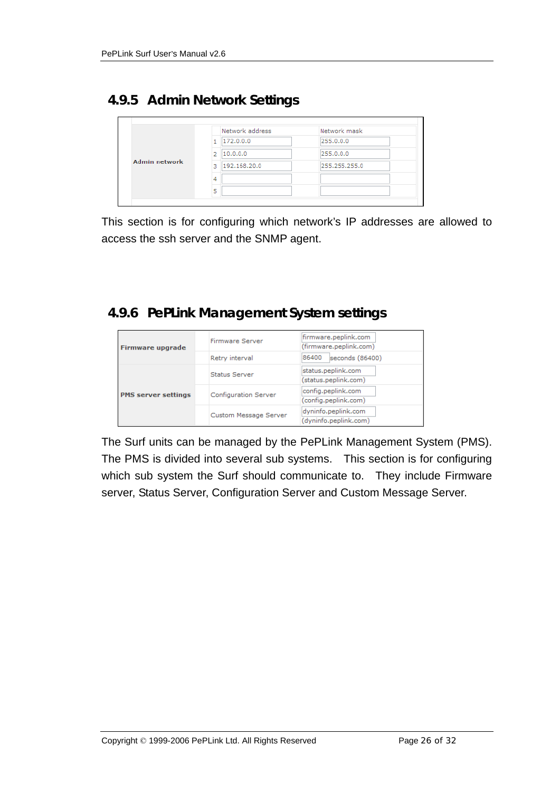#### **4.9.5 Admin Network Settings**

|                      | Network address   | Network mask  |
|----------------------|-------------------|---------------|
| <b>Admin network</b> | 172.0.0.0         | 255.0.0.0     |
|                      | 10.0.0.0<br>2     | 255.0.0.0     |
|                      | 192.168.20.0<br>R | 255,255,255.0 |
|                      | 4                 |               |
|                      | 5                 |               |

This section is for configuring which network's IP addresses are allowed to access the ssh server and the SNMP agent.

#### **4.9.6 PePLink Management System settings**

| <b>Firmware upgrade</b>    | Firmware Server       | firmware.peplink.com<br>(firmware.peplink.com) |
|----------------------------|-----------------------|------------------------------------------------|
|                            | Retry interval        | 86400<br>seconds (86400)                       |
|                            | <b>Status Server</b>  | status.peplink.com<br>(status.peplink.com)     |
| <b>PMS server settings</b> | Configuration Server  | config.peplink.com<br>(config.peplink.com)     |
|                            | Custom Message Server | dyninfo.peplink.com<br>(dyninfo.peplink.com)   |

The Surf units can be managed by the PePLink Management System (PMS). The PMS is divided into several sub systems. This section is for configuring which sub system the Surf should communicate to. They include Firmware server, Status Server, Configuration Server and Custom Message Server.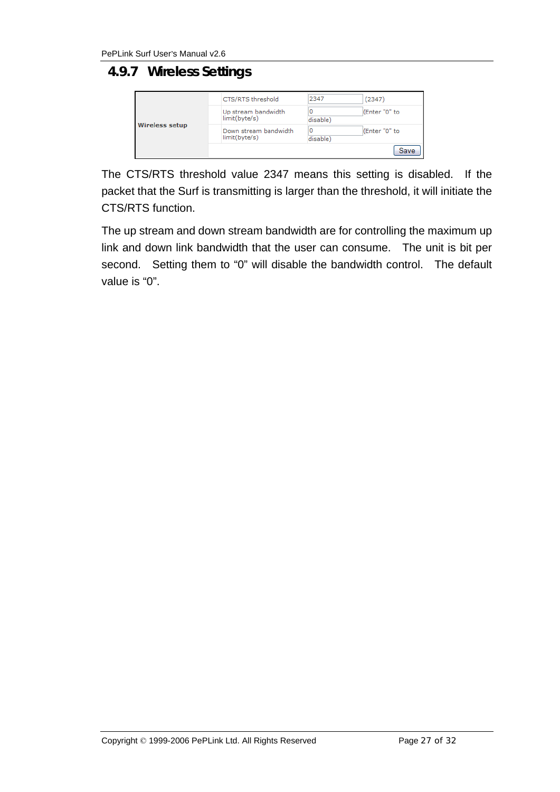### **4.9.7 Wireless Settings**

| <b>Wireless setup</b> | CTS/RTS threshold                             | 2347          | (2347)        |
|-----------------------|-----------------------------------------------|---------------|---------------|
|                       | Up stream bandwidth<br>limit(byte/s)          | disable)      | (Enter "0" to |
|                       | Down stream bandwidth<br>$limit(b)$ yte/s $)$ | 0<br>disable) | (Enter "0" to |
|                       |                                               |               | Save          |

The CTS/RTS threshold value 2347 means this setting is disabled. If the packet that the Surf is transmitting is larger than the threshold, it will initiate the CTS/RTS function.

The up stream and down stream bandwidth are for controlling the maximum up link and down link bandwidth that the user can consume. The unit is bit per second. Setting them to "0" will disable the bandwidth control. The default value is "0".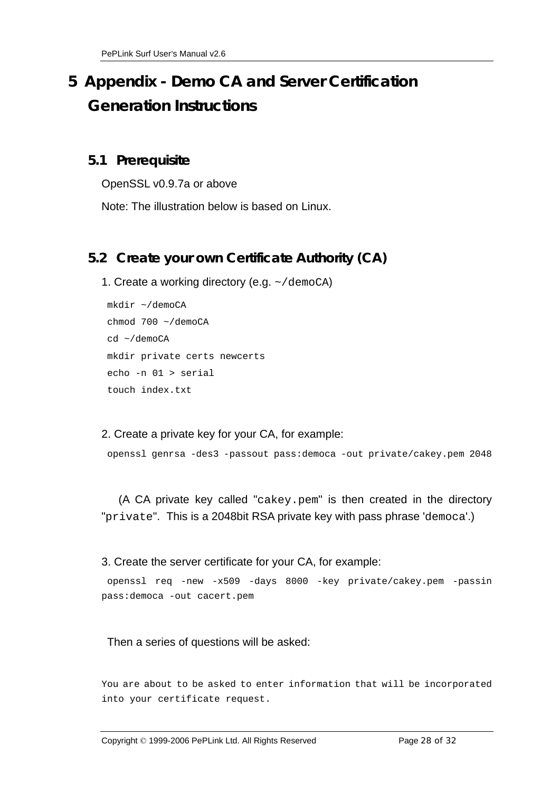# **5 Appendix - Demo CA and Server Certification Generation Instructions**

#### **5.1 Prerequisite**

OpenSSL v0.9.7a or above

Note: The illustration below is based on Linux.

#### **5.2 Create your own Certificate Authority (CA)**

1. Create a working directory (e.g. ~/demoCA)

```
 mkdir ~/demoCA 
 chmod 700 ~/demoCA 
 cd ~/demoCA 
 mkdir private certs newcerts 
 echo -n 01 > serial 
 touch index.txt
```
2. Create a private key for your CA, for example:

```
 openssl genrsa -des3 -passout pass:democa -out private/cakey.pem 2048
```
 (A CA private key called "cakey.pem" is then created in the directory "private". This is a 2048bit RSA private key with pass phrase 'democa'.)

#### 3. Create the server certificate for your CA, for example:

```
 openssl req -new -x509 -days 8000 -key private/cakey.pem -passin 
pass:democa -out cacert.pem
```
#### Then a series of questions will be asked:

You are about to be asked to enter information that will be incorporated into your certificate request.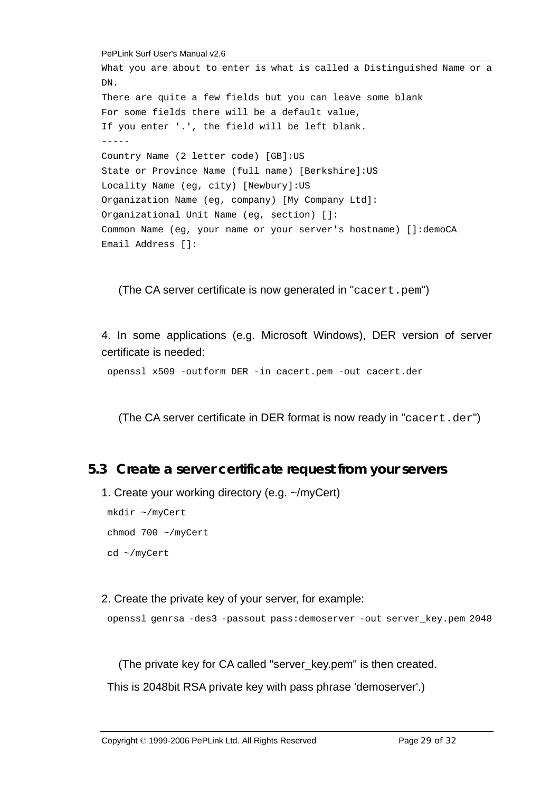PePLink Surf User's Manual v2.6

```
What you are about to enter is what is called a Distinguished Name or a 
DN. 
There are quite a few fields but you can leave some blank 
For some fields there will be a default value, 
If you enter '.', the field will be left blank. 
----- 
Country Name (2 letter code) [GB]:US 
State or Province Name (full name) [Berkshire]:US 
Locality Name (eg, city) [Newbury]:US 
Organization Name (eg, company) [My Company Ltd]: 
Organizational Unit Name (eg, section) []: 
Common Name (eg, your name or your server's hostname) []:demoCA 
Email Address []:
```
(The CA server certificate is now generated in "cacert.pem")

4. In some applications (e.g. Microsoft Windows), DER version of server certificate is needed:

openssl x509 -outform DER -in cacert.pem -out cacert.der

(The CA server certificate in DER format is now ready in "cacert.der")

#### **5.3 Create a server certificate request from your servers**

1. Create your working directory (e.g. ~/myCert)

 mkdir ~/myCert chmod 700 ~/myCert cd ~/myCert

#### 2. Create the private key of your server, for example:

openssl genrsa -des3 -passout pass:demoserver -out server\_key.pem 2048

(The private key for CA called "server\_key.pem" is then created.

This is 2048bit RSA private key with pass phrase 'demoserver'.)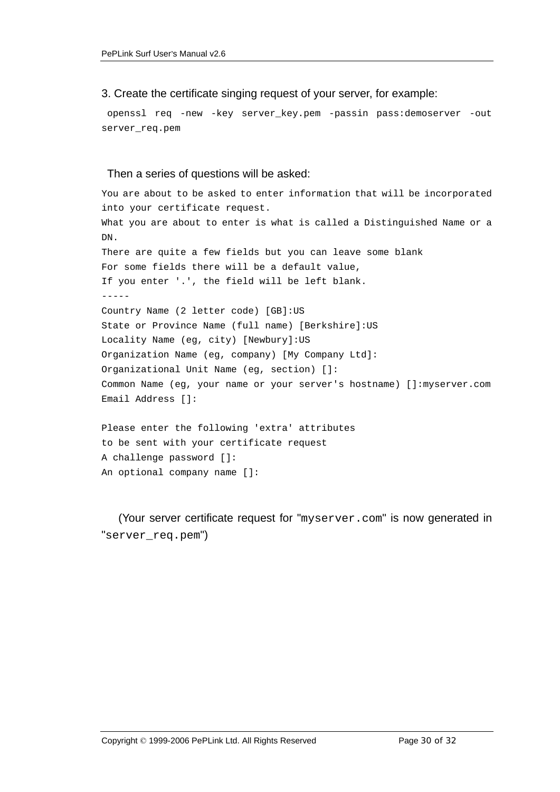3. Create the certificate singing request of your server, for example:

 openssl req -new -key server\_key.pem -passin pass:demoserver -out server\_req.pem

#### Then a series of questions will be asked:

```
You are about to be asked to enter information that will be incorporated 
into your certificate request. 
What you are about to enter is what is called a Distinguished Name or a 
DN. 
There are quite a few fields but you can leave some blank 
For some fields there will be a default value, 
If you enter '.', the field will be left blank. 
----- 
Country Name (2 letter code) [GB]:US 
State or Province Name (full name) [Berkshire]:US 
Locality Name (eg, city) [Newbury]:US 
Organization Name (eg, company) [My Company Ltd]: 
Organizational Unit Name (eg, section) []: 
Common Name (eg, your name or your server's hostname) []:myserver.com 
Email Address []:
```

```
Please enter the following 'extra' attributes 
to be sent with your certificate request 
A challenge password []: 
An optional company name []:
```
 (Your server certificate request for "myserver.com" is now generated in "server\_req.pem")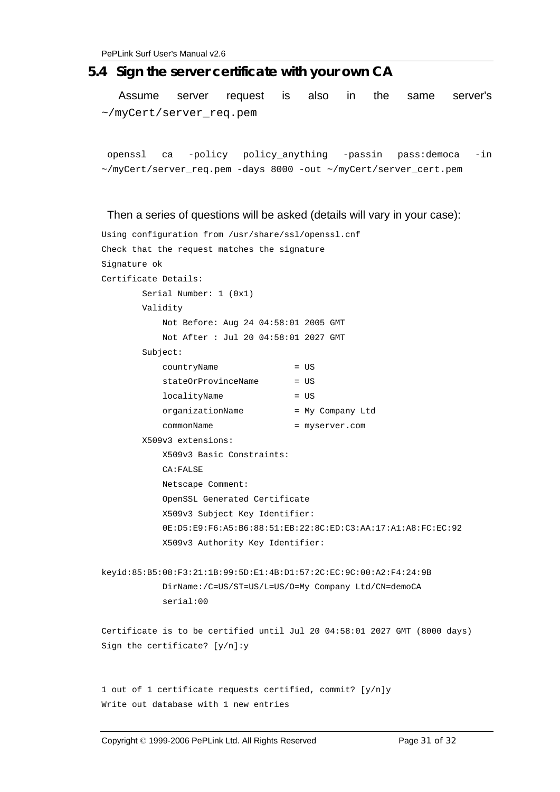#### **5.4 Sign the server certificate with your own CA**

 Assume server request is also in the same server's ~/myCert/server\_req.pem

 openssl ca -policy policy\_anything -passin pass:democa -in ~/myCert/server\_req.pem -days 8000 -out ~/myCert/server\_cert.pem

#### Then a series of questions will be asked (details will vary in your case):

```
Using configuration from /usr/share/ssl/openssl.cnf 
Check that the request matches the signature 
Signature ok 
Certificate Details: 
        Serial Number: 1 (0x1) 
        Validity 
            Not Before: Aug 24 04:58:01 2005 GMT 
            Not After : Jul 20 04:58:01 2027 GMT 
         Subject: 
            countryName = US 
           stateOrProvinceName = US
           localityName = US
            organizationName = My Company Ltd 
            commonName = myserver.com 
        X509v3 extensions: 
            X509v3 Basic Constraints: 
            CA:FALSE 
            Netscape Comment: 
            OpenSSL Generated Certificate 
            X509v3 Subject Key Identifier: 
             0E:D5:E9:F6:A5:B6:88:51:EB:22:8C:ED:C3:AA:17:A1:A8:FC:EC:92 
            X509v3 Authority Key Identifier: 
keyid:85:B5:08:F3:21:1B:99:5D:E1:4B:D1:57:2C:EC:9C:00:A2:F4:24:9B 
            DirName:/C=US/ST=US/L=US/O=My Company Ltd/CN=demoCA 
             serial:00 
Certificate is to be certified until Jul 20 04:58:01 2027 GMT (8000 days) 
Sign the certificate? [y/n]:y 
1 out of 1 certificate requests certified, commit? [y/n]y 
Write out database with 1 new entries
```